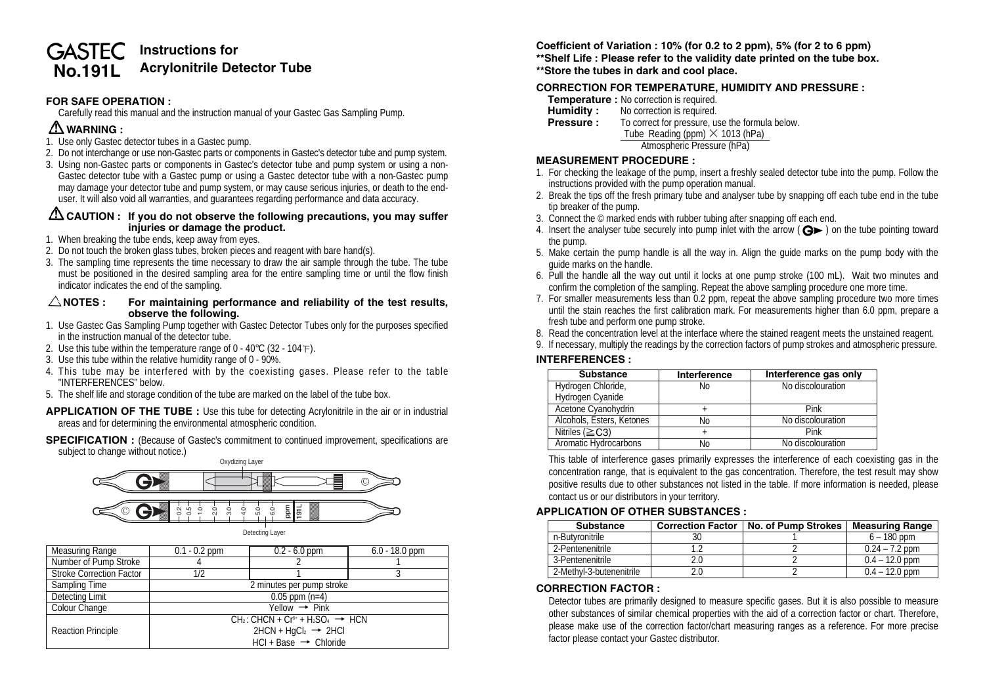# **Instructions for GASTEC No.191L Acrylonitrile Detector Tube**

# **FOR SAFE OPERATION :**

Carefully read this manual and the instruction manual of your Gastec Gas Sampling Pump.

# **WARNING :**

- 1. Use only Gastec detector tubes in a Gastec pump.
- 2. Do not interchange or use non-Gastec parts or components in Gastec's detector tube and pump system.
- 3. Using non-Gastec parts or components in Gastec's detector tube and pump system or using a non-Gastec detector tube with a Gastec pump or using a Gastec detector tube with a non-Gastec pump may damage your detector tube and pump system, or may cause serious injuries, or death to the enduser. It will also void all warranties, and guarantees regarding performance and data accuracy.

## **CAUTION : If you do not observe the following precautions, you may suffer injuries or damage the product.**

- 1. When breaking the tube ends, keep away from eyes.
- 2. Do not touch the broken glass tubes, broken pieces and reagent with bare hand(s).
- 3. The sampling time represents the time necessary to draw the air sample through the tube. The tube must be positioned in the desired sampling area for the entire sampling time or until the flow finish indicator indicates the end of the sampling.

#### **NOTES : For maintaining performance and reliability of the test results, observe the following.**

- 1. Use Gastec Gas Sampling Pump together with Gastec Detector Tubes only for the purposes specified in the instruction manual of the detector tube.
- 2. Use this tube within the temperature range of  $0 40^{\circ}$ C (32 104 °F).
- 3. Use this tube within the relative humidity range of 0 90%.
- 4. This tube may be interfered with by the coexisting gases. Please refer to the table "INTERFERENCES" below.
- 5. The shelf life and storage condition of the tube are marked on the label of the tube box.

**APPLICATION OF THE TUBE :** Use this tube for detecting Acrylonitrile in the air or in industrial areas and for determining the environmental atmospheric condition.

**SPECIFICATION** : (Because of Gastec's commitment to continued improvement, specifications are subject to change without notice.)



| Measuring Range                 | $0.1 - 0.2$ ppm                                  | $0.2 - 6.0$ ppm | $6.0 - 18.0$ ppm |  |
|---------------------------------|--------------------------------------------------|-----------------|------------------|--|
| Number of Pump Stroke           |                                                  |                 |                  |  |
| <b>Stroke Correction Factor</b> | 1/2                                              |                 |                  |  |
| Sampling Time                   | 2 minutes per pump stroke                        |                 |                  |  |
| Detecting Limit                 | $0.05$ ppm $(n=4)$                               |                 |                  |  |
| Colour Change                   | $Yellow \rightarrow Pink$                        |                 |                  |  |
|                                 | $CH_2: CHCN + Cr^{6+} + H_2SO_4 \rightarrow HCN$ |                 |                  |  |
| <b>Reaction Principle</b>       | $2HCN + HqCl2 \rightarrow 2HCl$                  |                 |                  |  |
|                                 | $HCI + Base \rightarrow Choice$                  |                 |                  |  |

**Coefficient of Variation : 10% (for 0.2 to 2 ppm), 5% (for 2 to 6 ppm)**

- **\*\*Shelf Life : Please refer to the validity date printed on the tube box.**
- **\*\*Store the tubes in dark and cool place.**

# **CORRECTION FOR TEMPERATURE, HUMIDITY AND PRESSURE :**

- **Temperature :** No correction is required.<br>**Humidity :** No correction is required.
- **Humidity :** No correction is required.<br>**Pressure :** To correct for pressure, us
- To correct for pressure, use the formula below. Tube Reading (ppm) **×** 1013 (hPa) Atmospheric Pressure (hPa)

#### **MEASUREMENT PROCEDURE :**

- 1. For checking the leakage of the pump, insert a freshly sealed detector tube into the pump. Follow the instructions provided with the pump operation manual.
- 2. Break the tips off the fresh primary tube and analyser tube by snapping off each tube end in the tube tip breaker of the pump.
- 3. Connect the © marked ends with rubber tubing after snapping off each end.
- 4. Insert the analyser tube securely into pump inlet with the arrow  $(Q \triangleright)$  on the tube pointing toward the pump.
- 5. Make certain the pump handle is all the way in. Align the guide marks on the pump body with the guide marks on the handle.
- 6. Pull the handle all the way out until it locks at one pump stroke (100 mL). Wait two minutes and confirm the completion of the sampling. Repeat the above sampling procedure one more time.
- 7. For smaller measurements less than 0.2 ppm, repeat the above sampling procedure two more times until the stain reaches the first calibration mark. For measurements higher than 6.0 ppm, prepare a fresh tube and perform one pump stroke.
- 8. Read the concentration level at the interface where the stained reagent meets the unstained reagent.
- 9. If necessary, multiply the readings by the correction factors of pump strokes and atmospheric pressure.

## **INTERFERENCES :**

| <b>Substance</b>          | Interference | Interference gas only |  |
|---------------------------|--------------|-----------------------|--|
| Hydrogen Chloride,        | No           | No discolouration     |  |
| Hydrogen Cyanide          |              |                       |  |
| Acetone Cyanohydrin       |              | Pink                  |  |
| Alcohols, Esters, Ketones | No           | No discolouration     |  |
| Nitriles ( $\geq$ C3)     |              | Pink                  |  |
| Aromatic Hydrocarbons     | Nο           | No discolouration     |  |

This table of interference gases primarily expresses the interference of each coexisting gas in the concentration range, that is equivalent to the gas concentration. Therefore, the test result may show positive results due to other substances not listed in the table. If more information is needed, please contact us or our distributors in your territory.

## **APPLICATION OF OTHER SUBSTANCES :**

| <b>Substance</b>         | <b>Correction Factor</b> | No. of Pump Strokes | <b>Measuring Range</b> |
|--------------------------|--------------------------|---------------------|------------------------|
| n-Butvronitrile          |                          |                     | $6 - 180$ ppm          |
| 2-Pentenenitrile         |                          |                     | $0.24 - 7.2$ ppm       |
| 3-Pentenenitrile         |                          |                     | $0.4 - 12.0$ ppm       |
| 2-Methyl-3-butenenitrile |                          |                     | $0.4 - 12.0$ ppm       |

## **CORRECTION FACTOR :**

Detector tubes are primarily designed to measure specific gases. But it is also possible to measure other substances of similar chemical properties with the aid of a correction factor or chart. Therefore, please make use of the correction factor/chart measuring ranges as a reference. For more precise factor please contact your Gastec distributor.